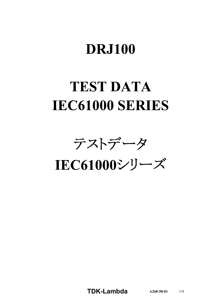# **DRJ100**

# **TEST DATA IEC61000 SERIES**

テストデータ

IEC61000シリーズ

**TDKLambda A2685801** 1/9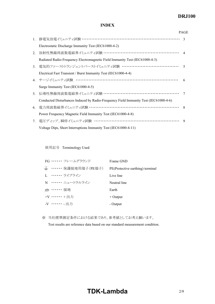# *DRJ100*

### **INDEX**

|                                  |                                                                                      | <b>PAGE</b>   |
|----------------------------------|--------------------------------------------------------------------------------------|---------------|
|                                  | 1. 静電気放電イミュニティ試験 ……………………………………………………………                                             | $\mathcal{R}$ |
|                                  | Electrostatic Discharge Immunity Test (IEC61000-4-2)                                 |               |
| 2.                               | 放射性無線周波数電磁界イミュニティ試験 ………………………………………………… 4                                            |               |
|                                  | Radiated Radio-Frequency Electromagnetic Field Immunity Test (IEC61000-4-3)          |               |
| 3 <sub>1</sub>                   | 電気的ファーストトランジェントバーストイミュニティ試験 …………………………………                                            | $\varsigma$   |
|                                  | Electrical Fast Transient / Burst Immunity Test (IEC61000-4-4)                       |               |
|                                  | 4. サージイミュニティ試験 ……………………………………………………………                                               | 6             |
|                                  | Surge Immunity Test (IEC61000-4-5)                                                   |               |
| 5.                               | 伝導性無線周波数電磁界イミュニティ試験 ………………………………………………                                               | 7             |
|                                  | Conducted Disturbances Induced by Radio-Frequency Field Immunity Test (IEC61000-4-6) |               |
| 6.                               | 電力周波数磁界イミュニティ試験 ………………………………………………………                                                | 8             |
|                                  | Power Frequency Magnetic Field Immunity Test (IEC61000-4-8)                          |               |
| $7_{\scriptscriptstyle{\ddots}}$ | 電圧ディップ、瞬停イミュニティ試験 ……………………………………………………                                               | 9             |
|                                  | Voltage Dips, Short Interruptions Immunity Test (IEC61000-4-11)                      |               |

使用記号 Terminology Used

|                     | FG …… フレームグラウンド             | Frame GND                        |
|---------------------|-----------------------------|----------------------------------|
|                     | (╧) ・・・・・・・ 保護接地用端子(PE端子) ― | PE(Protective earthing) terminal |
|                     | I. ・・・・・・・ ライブライン           | Live line                        |
|                     | N …… ニュートラルライン              | Neutral line                     |
| <del>,, ……</del> 接地 |                             | Earth                            |
| $+V$ + $HH$         |                             | $+$ Output                       |
| -V …… - 出力          |                             | - Output                         |

※ 当社標準測定条件における結果であり、参考値としてお考え願います。

Test results are reference data based on our standard measurement condition.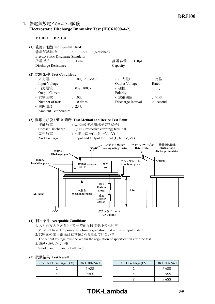## 1. 静電気放電イミュニティ試験 **Electrostatic Discharge Immunity Test (IEC6100042)**

#### **MODEL : DRJ100**

| (1) 使用計測器 Equipment Used<br>静電気試験機<br>Electro Static Discharge Simulator<br>放電抵抗<br>Discharge Resistance                 | : ESS-S3011 (Noiseken)<br>: $330\Omega$                                                                                                                                                    | 静電容量<br>: 150pF<br>Capacity                                                  |                                                        |
|--------------------------------------------------------------------------------------------------------------------------|--------------------------------------------------------------------------------------------------------------------------------------------------------------------------------------------|------------------------------------------------------------------------------|--------------------------------------------------------|
| (2) 試験条件 Test Conditions                                                                                                 |                                                                                                                                                                                            |                                                                              |                                                        |
| • 入力電圧<br>Input Voltage<br>• 出力電流<br><b>Output Current</b><br>• 試験回数<br>Number of tests<br>• 周囲温度<br>Ambient Temperature | : $100, 230VAC$<br>: $0\%$ , $100\%$<br>: 10回<br>10 times<br>$: 25^{\circ}C$                                                                                                               | • 出力電圧<br>Output Voltage<br>• 極性<br>Polarity<br>• 放電間隔<br>Discharge Interval | : 定格<br>Rated<br>$: +,-$<br>:>1秒<br>$>1$ second        |
| 接触放電<br><b>Contact Discharge</b><br>気中放電<br>Air Discharge<br>放電ガン<br>Discharge gun                                       | (3) 試験方法及び印加箇所 Test Method and Device Test Point<br>: 4 保護接地用端子 (PE端子)<br>$\bigoplus$ PE(Protective earthing) terminal<br>: 入出力端子(L、N、+V、-V)<br>Input and Output terminal $(L, N, +V, -V)$ | アナログ電圧計<br>リターンケーブル<br>Analog voltage meter<br>Return cable                  | 静電気試験機<br><b>Electro</b> static<br>discharge simulator |
| 絶縁板<br><b>Insulation plate</b>                                                                                           | 供試体<br>負荷<br>D.U.T<br>⊕<br>Load<br>抵抗                                                                                                                                                      | アルミプレート<br>Aluminum plate                                                    | Output                                                 |
| <b>AC</b> input<br>$\sim$ $\sim$ $\sim$                                                                                  | <b>Resistor</b><br>木製台<br>$470k\Omega$<br>Wood made table<br>抵抗<br><b>Resistor</b><br>$470k\Omega$                                                                                         | 0.8 <sub>m</sub><br>グランドプレーン<br><b>GND</b> plane                             |                                                        |

#### **(4) Acceptable Conditions**

1.入力再投入を必要とする一時的な機能低下のない事 Must not have temporary function degradation that requires input restart. 2.試験後の出力電圧は初期値から変動していない事

The output voltage must be within the regulation of specification after the test.

3.発煙・発火のない事

Smoke and fire are not allowed.

|  |  | (5) 試験結果 Test Result |  |
|--|--|----------------------|--|
|--|--|----------------------|--|

| Contact Discharge (kV) | DRJ100-24-1 | Air Discharge(kV) |
|------------------------|-------------|-------------------|
|                        | PASS        |                   |
|                        | <b>PASS</b> |                   |

| DRJ100-24-1 | Air Discharge(kV) | DRJ100-24-1 |
|-------------|-------------------|-------------|
| <b>PASS</b> |                   | <b>PASS</b> |
| <b>PASS</b> |                   | <b>PASS</b> |
|             |                   | <b>PASS</b> |

# **TDK-Lambda** 3/9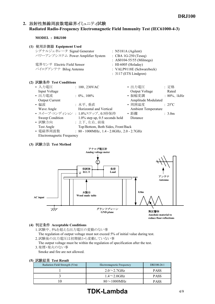### 2. 放射性無線周波数電磁界イミュニティ試験 **Radiated RadioFrequency Electromagnetic Field Immunity Test (IEC6100043)**

**MODEL : DRJ100**

| (1) | 使用計測器 Equipment Used              |                                 |
|-----|-----------------------------------|---------------------------------|
|     | シグナルジェネレータ Signal Generator       | : N5181A (Agilent)              |
|     | パワーアンプシステム Power Amplifier System | $\therefore$ CBA 1G-250 (Teseq) |
|     |                                   | : AS0104-55/55 (Milmega)        |
|     | 電界センサ Electric Field Sensor       | : HI-6005 (Holaday)             |
|     | バイログアンテナ Bilog Antenna            | : VALP9118E (Schwarzbeck)       |
|     |                                   | $: 3117$ (ETS Lindgren)         |
|     |                                   |                                 |

| (2) 試験条件 Test Conditions        |                                                     |                     |                          |
|---------------------------------|-----------------------------------------------------|---------------------|--------------------------|
| • 入力電圧                          | : $100, 230$ VAC                                    | • 出力電圧              | : 定格                     |
| Input Voltage                   |                                                     | Output Voltage      | Rated                    |
| • 出力電流                          | $: 0\%$ , 100%                                      | • 振幅変調              | $: 80\%$ , 1kHz          |
| <b>Output Current</b>           |                                                     | Amplitude Modulated |                          |
| ・偏波                             | :水平、垂直                                              | • 周囲温度              | $\div$ 25 <sup>o</sup> C |
| Wave Angle                      | Horizontal and Vertical                             | Ambient Temperature |                          |
| • スイープ·コンディション: 1.0%ステップ、0.5秒保持 |                                                     | ・距離                 | $\therefore$ 3.0m        |
| Sweep Condition                 | $1.0\%$ step up, 0.5 seconds hold                   | <b>Distance</b>     |                          |
| • 試験方向                          | : 上下、左右、前後                                          |                     |                          |
| Test Angle                      | Top/Bottom, Both Sides, Front/Back                  |                     |                          |
| • 電磁界周波数                        | : $80 - 1000$ MHz, $1.4 - 2.0$ GHz, $2.0 - 2.7$ GHz |                     |                          |
| Electromagnetic Frequency       |                                                     |                     |                          |

#### **(3) Test Method**



#### **(4) Acceptable Conditions**

- 1.試験中、5%を超える出力電圧の変動のない事 The regulation of output voltage must not exceed 5% of initial value during test. 2.試験後の出力電圧は初期値から変動していない事
- The output voltage must be within the regulation of specification after the test. 3.発煙・発火のない事
- Smoke and fire are not allowed.

#### **(5) Test Result**

| Radiation Field Strength (V/m) |  | Electromagnetic Frequency | DRJ100-24-1 |  |  |  |  |
|--------------------------------|--|---------------------------|-------------|--|--|--|--|
|                                |  | $2.0 \sim 2.7$ GHz        | <b>PASS</b> |  |  |  |  |
|                                |  | $1.4\sim2.0$ GHz          | <b>PASS</b> |  |  |  |  |
|                                |  | $80\sim1000$ MHz          | PASS        |  |  |  |  |

# **TDK-Lambda** 4/9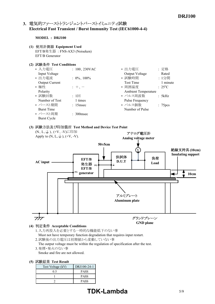## 3. 電気的ファーストトランジェントバーストイミュニティ試験 **Electrical Fast Transient / Burst Immunity Test (IEC6100044)**

#### **MODEL : DRJ100**

- **(1) Equipment Used** EFT/B発生器 : FNSAX3 (Noiseken) EFT/B Generator
- **(2) Test Conditions**

| • 入力電圧                | : $100, 230$ VAC      | • 出力電圧              | : 定格                |
|-----------------------|-----------------------|---------------------|---------------------|
| Input Voltage         |                       | Output Voltage      | Rated               |
| • 出力電流                | $: 0\%$ , 100%        | • 試験時間              | : 1分間               |
| <b>Output Current</b> |                       | <b>Test Time</b>    | 1 minute            |
| • 極性                  | $+$ , $-$             | • 周囲温度              | $: 25^{\circ}C$     |
| Polarity              |                       | Ambient Temperature |                     |
| • 試験回数                | : $1 \Box$            | • パルス周波数            | : 5kHz              |
| Number of Test        | 1 times               | Pulse Frequency     |                     |
| • バースト期間              | $: 15$ msec           | • パルス個数             | : 75 <sub>pcs</sub> |
| <b>Burst Time</b>     |                       | Number of Pulse     |                     |
| • バースト周期              | $\therefore$ 300 msec |                     |                     |
| <b>Burst Cycle</b>    |                       |                     |                     |

#### **(3) Test Method and Device Test Point**



**(4) Acceptable Conditions**

- **GND plane**
- 1.入力再投入を必要とする一時的な機能低下のない事 Must not have temporary function degradation that requires input restart.
- 2.試験後の出力電圧は初期値から変動していない事
- The output voltage must be within the regulation of specification after the test.
- 3.発煙・発火のない事
- Smoke and fire are not allowed.

#### **(5) Test Result**

| Test Voltage (kV) | DRJ100-24-1 |
|-------------------|-------------|
| 0 ና               | <b>PASS</b> |
|                   | <b>PASS</b> |
|                   | <b>PASS</b> |

# **TDK-Lambda** 5/9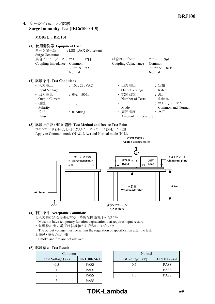## **4. Surge Immunity Test (IEC6100045)**

#### **MODEL : DRJ100**

| 使用計測器 Equipment Used<br>(1)<br>Surge Generator<br>結合インピーダンス: コモン 12Ω<br>Coupling Impedance Common                          | サージ発生器 : LSS-15AX (Noiseken)<br>ノーマル 20<br>Normal                | 結合コンデンサ : コモン<br>Coupling Capacitance                                                                   | $9\mu F$<br>Common<br>ノーマル 18uF<br>Normal                                             |
|----------------------------------------------------------------------------------------------------------------------------|------------------------------------------------------------------|---------------------------------------------------------------------------------------------------------|---------------------------------------------------------------------------------------|
| (2) 試験条件 Test Conditions<br>・入力電圧<br>Input Voltage<br>• 出力電流<br><b>Output Current</b><br>• 極性<br>Polarity<br>• 位相<br>Phase | : $100, 230$ VAC<br>$: 0\%$ , 100%<br>$+$ , $-$<br>$: 0, 90$ deg | • 出力電圧<br>Output Voltage<br>• 試験回数<br>Number of Tests<br>• モード<br>Mode<br>• 周囲温度<br>Ambient Temperature | : 定格<br>Rated<br>:5回<br>5 times<br>: コモン、ノーマル<br>Common and Normal<br>$: 25^{\circ}C$ |

**(3) Test Method and Device Test Point** コモンモード (N-() L-() 及びノーマルモード (N-L) に印加 Apply to Common mode  $(N-\textcircled{L}, L-\textcircled{L})$  and Normal mode (N-L).



#### **(4) Acceptable Conditions**

- 1.入力再投入を必要とする一時的な機能低下のない事 Must not have temporary function degradation that requires input restart.
- 2.試験後の出力電圧は初期値から変動していない事
- The output voltage must be within the regulation of specification after the test. 3.発煙・発火のない事
- Smoke and fire are not allowed.

#### **(5) Test Result**

| Common            |             | Normal            |
|-------------------|-------------|-------------------|
| Test Voltage (kV) | DRJ100-24-1 | Test Voltage (kV) |
| 0.5               | <b>PASS</b> | 0.5               |
|                   | <b>PASS</b> |                   |
|                   | <b>PASS</b> |                   |
|                   | <b>PASS</b> |                   |

|             | Normal            |             |  |
|-------------|-------------------|-------------|--|
| DRJ100-24-1 | Test Voltage (kV) | DRJ100-24-1 |  |
| <b>PASS</b> | 05                | <b>PASS</b> |  |
| <b>PASS</b> |                   | <b>PASS</b> |  |
| <b>PASS</b> | -5                | <b>PASS</b> |  |

# **TDK-Lambda** 6/9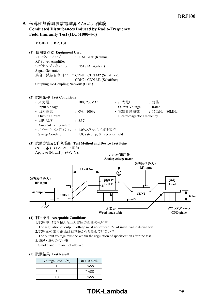## 5. 伝導性無線周波数電磁界イミュニティ試験 **Conducted Disturbances Induced by RadioFrequency** Field Immunity Test (IEC61000-4-6)

**MODEL : DRJ100**

**(1) Equipment Used**

RF パワーアンプ : 116FC-CE (Kalmus) RF Power Amplifier シグナルジェネレータ : N5181A (Agilent) Signal Generator 結合/減結合ネットワーク CDN1 : CDN M2 (Schaffner), CDN2 : CDN M3 (Schaffner) Coupling De-Coupling Network (CDN)

#### **(2) Test Conditions**



**(3) Test Method and Device Test Point** (N、L、(4)、(+V、-V)に印加 Apply to  $(N, L, \bigoplus)$ ,  $(+V, -V)$ .



#### **(4) Acceptable Conditions**

1.試験中、5%を超える出力電圧の変動のない事

The regulation of output voltage must not exceed 5% of initial value during test.

2.試験後の出力電圧は初期値から変動していない事

The output voltage must be within the regulation of specification after the test. 3.発煙・発火のない事

- Smoke and fire are not allowed.
- **(5) Test Result**

| Voltage Level (V) | DRJ100-24-1 |
|-------------------|-------------|
|                   | <b>PASS</b> |
|                   | <b>PASS</b> |
|                   | <b>PASS</b> |

# **TDK-Lambda** 7/9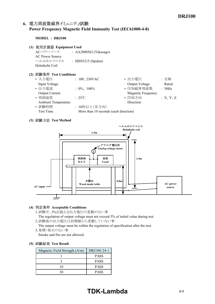## 6. 電力周波数磁界イミュニティ試験 **Power Frequency Magnetic Field Immunity Test (IEC6100048)**

#### **MODEL : DRJ100**

- **(1) Equipment Used**
	- ACパワーソース : AA2000XG (Takasago) AC Power Source ヘルムホルツコイル : HHS5215 (Spulen) Helmholts Coil

#### **(2) Test Conditions**

| • 入力電圧<br>• 出力電圧<br>: $100, 230 \text{VAC}$               | : 定格     |
|-----------------------------------------------------------|----------|
| Input Voltage<br>Output Voltage                           | Rated    |
| • 印加磁界周波数<br>• 出力電流<br>: $0\%$ , $100\%$                  | : 50Hz   |
| <b>Magnetic Frequency</b><br><b>Output Current</b>        |          |
| • 周囲温度<br>• 印加方向<br>$:25^{\circ}\text{C}$                 | :X, Y, Z |
| <b>Ambient Temperature</b><br>Direction                   |          |
| • 試験時間<br>: 10秒以上(各方向)                                    |          |
| More than 10 seconds (each direction)<br><b>Test Time</b> |          |

#### **(3) Test Method**



#### **(4) Acceptable Conditions**

1.試験中、5%を超える出力電圧の変動のない事

The regulation of output voltage must not exceed 5% of initial value during test. 2.試験後の出力電圧は初期値から変動していない事

The output voltage must be within the regulation of specification after the test. 3.発煙・発火のない事

Smoke and fire are not allowed.

#### **(5) Test Result**

| Magnetic Field Strength (A/m) | DRJ100-24-1 |
|-------------------------------|-------------|
|                               | <b>PASS</b> |
|                               | <b>PASS</b> |
|                               | <b>PASS</b> |
|                               | PASS        |

# **TDK-Lambda** 8/9